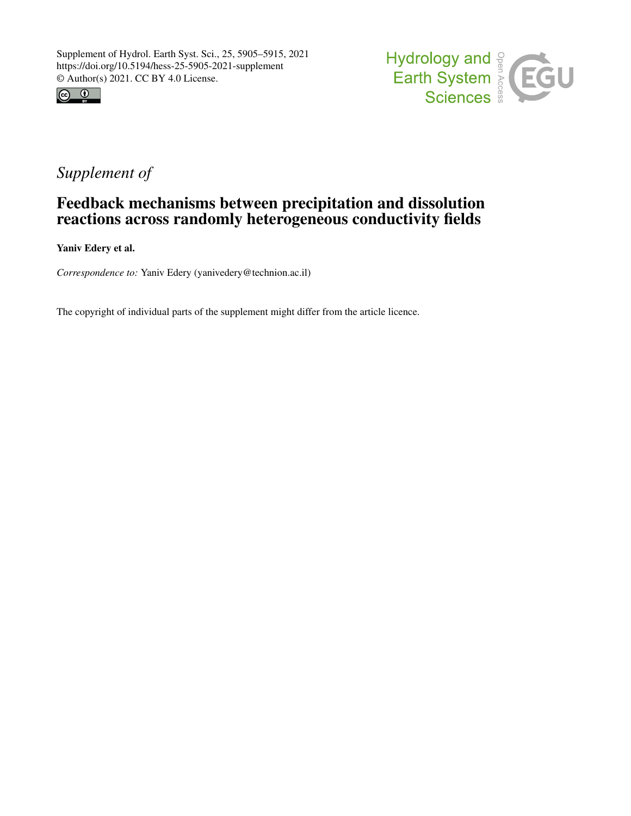



## *Supplement of*

## Feedback mechanisms between precipitation and dissolution reactions across randomly heterogeneous conductivity fields

Yaniv Edery et al.

*Correspondence to:* Yaniv Edery (yanivedery@technion.ac.il)

The copyright of individual parts of the supplement might differ from the article licence.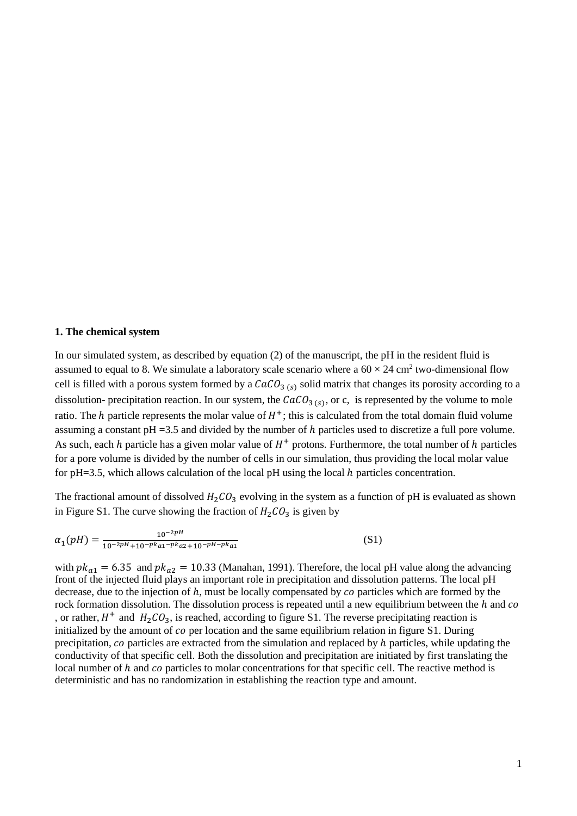## **1. The chemical system**

In our simulated system, as described by equation (2) of the manuscript, the pH in the resident fluid is assumed to equal to 8. We simulate a laboratory scale scenario where a  $60 \times 24$  cm<sup>2</sup> two-dimensional flow cell is filled with a porous system formed by a  $CaCO<sub>3 (s)</sub>$  solid matrix that changes its porosity according to a dissolution- precipitation reaction. In our system, the  $CaCO<sub>3 (s)</sub>$ , or c, is represented by the volume to mole ratio. The  $h$  particle represents the molar value of  $H^+$ ; this is calculated from the total domain fluid volume assuming a constant  $pH = 3.5$  and divided by the number of h particles used to discretize a full pore volume. As such, each  $h$  particle has a given molar value of  $H^+$  protons. Furthermore, the total number of  $h$  particles for a pore volume is divided by the number of cells in our simulation, thus providing the local molar value for pH=3.5, which allows calculation of the local pH using the local  $h$  particles concentration.

The fractional amount of dissolved  $H_2CO_3$  evolving in the system as a function of pH is evaluated as shown in Figure S1. The curve showing the fraction of  $H_2CO_3$  is given by

$$
\alpha_1(pH) = \frac{10^{-2pH}}{10^{-2pH} + 10^{-pka_1 - pka_2} + 10^{-pH - pka_1}}
$$
(S1)

with  $pk_{a1} = 6.35$  and  $pk_{a2} = 10.33$  (Manahan, 1991). Therefore, the local pH value along the advancing front of the injected fluid plays an important role in precipitation and dissolution patterns. The local pH decrease, due to the injection of  $h$ , must be locally compensated by  $co$  particles which are formed by the rock formation dissolution. The dissolution process is repeated until a new equilibrium between the  $h$  and  $co$ , or rather,  $H^+$  and  $H_2CO_3$ , is reached, according to figure S1. The reverse precipitating reaction is initialized by the amount of  $co$  per location and the same equilibrium relation in figure S1. During precipitation,  $co$  particles are extracted from the simulation and replaced by  $h$  particles, while updating the conductivity of that specific cell. Both the dissolution and precipitation are initiated by first translating the local number of  $h$  and  $co$  particles to molar concentrations for that specific cell. The reactive method is deterministic and has no randomization in establishing the reaction type and amount.